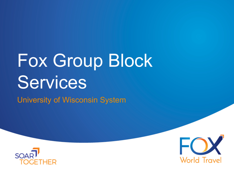# Fox Group Block Services

University of Wisconsin System



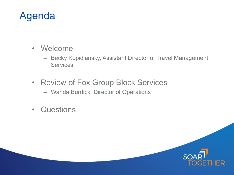## Agenda

- Welcome
	- Becky Kopidlansky, Assistant Director of Travel Management **Services**
- Review of Fox Group Block Services
	- Wanda Burdick, Director of Operations
- Questions

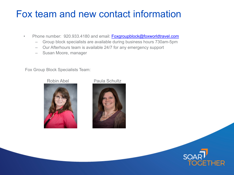## Fox team and new contact information

- Phone number: 920.933.4180 and email: [Foxgroupblock@foxworldtravel.com](mailto:Foxgroupblock@foxworldtravel.com)
	- Group block specialists are available during business hours 730am-5pm
	- Our Afterhours team is available 24/7 for any emergency support
	- Susan Moore, manager

Fox Group Block Specialists Team:



### Robin Abel Paula Schultz



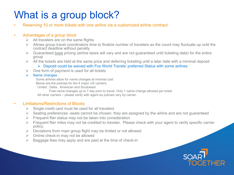## What is a group block?

Reserving 10 or more tickets with one airline via a customized airline contract

### • Advantages of a group block

- $\triangleright$  All travelers are on the same flights
- $\triangleright$  Allows group travel coordinators time to finalize number of travelers as the count may fluctuate up until the contract deadline without penalty
- $\triangleright$  Guaranteed base pricing (airline taxes will vary and are not guaranteed until ticketing date) for the entire group
- $\triangleright$  All the tickets are held at the same price and deferring ticketing until a later date with a minimal deposit
	- Deposit could be waived with Fox World Travels' preferred Status with some airlines
- $\triangleright$  One form of payment is used for all tickets
- $\triangleright$  Name changes

Some airlines allow for name changes at minimal cost

Below are the policies for the 4 major US carriers.

United , Delta , American and Southwest

Free name changes up to 7 day prior to travel. Only 1 name change allowed per ticket All other carriers – please verify with agent as policies vary by carrier.

### • Limitations/Restrictions of Blocks

- $\triangleright$  Single credit card must be used for all travelers
- $\triangleright$  Seating preferences -seats cannot be chosen, they are assigned by the airline and are not guaranteed
- $\triangleright$  Frequent flier status may not be taken into consideration
- $\triangleright$  Frequent flier miles may not be credited to traveler. Please check with your agent to verify specific carrier policy.
- $\triangleright$  Deviations from main group flight may be limited or not allowed
- $\triangleright$  Online check-in may not be allowed
- $\triangleright$  Baggage fees may apply and are paid at the time of check-in

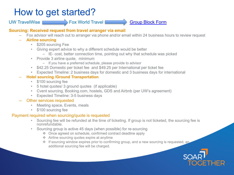### How to get started?

### UW TravelWise **Fox World Travel Communist Provid Travel** Group Block Form

### **Sourcing: Received request from travel arranger via email**

- Fox advisor will reach out to arranger via phone and/or email within 24 business hours to review request
- **Airline sourcing** 
	- \$205 sourcing Fee
	- Giving expert advice to why a different schedule would be better
		- IE- cost, better connection time, pointing out why that schedule was picked
	- Provide 3 airline quote, minimum
		- If you have a preferred schedule, please provide to advisor
	- \$42.25 Domestic per ticket fee and \$49.25 per International per ticket fee
	- Expected Timeline: 2 business days for domestic and 3 business days for international

### – **Hotel sourcing /Ground Transportation**

- \$100 sourcing fee
- 5 hotel quotes/ 3 ground quotes (if applicable)
- Cvent sourcing, Booking.com, hostels, GDS and Airbnb (per UW's agreement)
- Expected Timeline: 3-5 business days
- Other services requested
	- Meeting space, Events, meals
	- \$100 sourcing fee

### Payment required when sourcing/quote is requested

- Sourcing fee will be refunded at the time of ticketing. If group is not ticketed, the sourcing fee is nonrefundable.
- Sourcing group is active 45 days (when possible) for re-sourcing
	- Once agreed on schedule, confirmed contract deadline apply
	- Airline sourcing quotes expire at anytime
	- $\cdot$  If sourcing window expires prior to confirming group, and a new sourcing is requested, and additional sourcing fee will be charged.

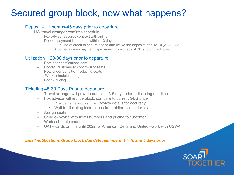## Secured group block, now what happens?

### Deposit – 11months-45 days prior to departure

- UW travel arranger confirms schedule
	- Fox advisor secures contract with airline
	- Deposit payment is required within 1-3 days
		- FOX line of credit to secure space and waive the deposits for UA,DL,AA,LH,AS
		- All other airlines payment type varies, from check, ACH and/or credit card

### Utilization 120-90 days prior to departure<br>- Reminder notifications sent

- 
- Contact customer to confirm # of seats
- Now under penalty, if reducing seats
- Work schedule changes
- Check pricing

### Ticketing 45-30 Days Prior to departure

- Travel arranger will provide name list 3-5 days prior to ticketing deadline
- Fox advisor will reprice block, compare to current GDS price
	- Provide name list to airline, Review details for accuracy
	- Wait for ticketing instructions from airline. Issue tickets
- Assign seats
- Send e-invoice with ticket numbers and pricing to customer
- Work schedule changes
- UATP cards on File until 2022 for American,Delta and United –work with USWA

*Email notifications Group block due date reminders 14, 10 and 5 days prior* 

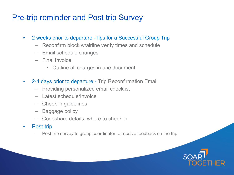### Pre-trip reminder and Post trip Survey

- 2 weeks prior to departure -Tips for a Successful Group Trip
	- Reconfirm block w/airline verify times and schedule
	- Email schedule changes
	- Final Invoice
		- Outline all charges in one document
- 2-4 days prior to departure Trip Reconfirmation Email
	- Providing personalized email checklist
	- Latest schedule/Invoice
	- Check in guidelines
	- Baggage policy
	- Codeshare details, where to check in
- Post trip
	- Post trip survey to group coordinator to receive feedback on the trip

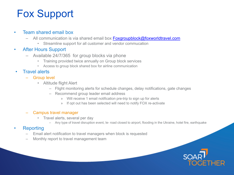## Fox Support

### • Team shared email box

- All communication is via shared email box [Foxgroupblock@foxworldtravel.com](mailto:Foxgroupblock@foxworldtravel.com)
	- Streamline support for all customer and vendor commucation
- After Hours Support
	- Available 24/7/365 for group blocks via phone
		- Training provided twice annually on Group block services
		- Access to group block shared box for airline communication
- **Travel alerts** 
	- Group level
		- Altitude flight Alert
			- Flight monitoring alerts for schedule changes, delay notifications, gate changes
			- Recommend group leader email address
				- » Will receive 1 email notification pre-trip to sign up for alerts
				- » If opt out has been selected will need to notify FOX re-activate

### – Campus travel manager

- Travel alerts, several per day
	- Any type of travel disruption event, Ie- road closed to airport, flooding in the Ukraine, hotel fire, earthquake

### **Reporting**

- Email alert notification to travel managers when block is requested
- Monthly report to travel management team

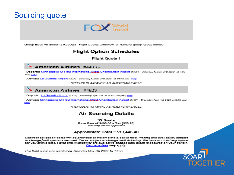### **Sourcing quote**



Group Block Air Sourcing Request - Flight Quotes Overview for Name of group /group number

### **Flight Option Schedules**

**Flight Quote 1** 

### **American Airlines** #4493 -

Departs: Minneapolis-St Paul International/Wold-Chamberlain Airport (MSP) - Saturday March 27th 2021 at 7:00 am | map

Arrives: La Guardia Airport (LGA) - Saturday March 27th 2021 at 10:43 am | map

\*REPUBLIC AIRWAYS AS AMERICAN EAGLE

### American Airlines #4523 -

Departs: La Guardia Airport (LGA) - Thursday April 1st 2021 at 1:40 pm | map

Arrives: Minneapolis-St Paul International/Mold-Chamberlain Airport (MSP) - Thursday April 1st 2021 at 3:43 pm | map

\*REPUBLIC AIRWAYS AS AMERICAN EAGLE

### **Air Sourcing Details**

32 Seats Base Fare of \$400.00 + Tax (\$20.20) \*Country tax not applicable

#### Approximate Total = \$13,446.40

Contract obligation dates will be provided at the time the block is held. Pricing and availability subject to change until space is secured. Taxes subject to change until ticketing. We have not held any space for you at this time. Fares and Availability are subject to change until block is secured on your behalf. Baggage fees may apply.

This flight quote was created on Thursday May 7th.2020 10:14 am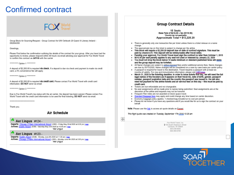### Confirmed contract

### **FOX** World

Group Block Air Sourcing Request - Group Contract for UW Oshkosh 20 Quest III Literary Ireland -09UW4350

#### Greetings.

Please Find below the confirmation outlining the details of the contract for your group. After you have had the opportunity to review, please respond within 48 hours via email advising your approval for Fox World Travel to confirm this contract as definite with the carrier

\*\*\*\*\*\*\*\*\*\*\* Option 1 \*\*\*\*\*\*\*\*\*\*

A deposit of \$2,200.00 is required vla check. If a deposit is due via check and payment is made via credit card, a 3% convenience fee will apply.

\*\*\*\*\*\*\*\*\*\*\* Option 2 \*\*\*\*\*\*\*\*\*\*\*

A deposit of \$2,200.00 is required via credit card. Please contact Fox World Travel with credit card information. DO NOT send via email.

\*\*\*\*\*\*\*\*\*\*\* Option 3 \*\*\*\*\*\*\*\*\*\*\*

Due to Fox World Travel's top status with the air carrier, the deposit has been waived. Please contact Fox World Travel with the credit card information to be used for final ticketing. DO NOT send via email.

\*\*\*\*\*\*\*\*\*\*\*\*\*\*\*\*\*\*\*\*\*\*\*\*\*\*\*\*\*\*\*

Thank you.

#### Air Schedule

Aer Lingus #124 -

Departs: Chicago O'Hare International Airport (ORD) - Friday May 22nd 2020 at 8:30 pm | map Arrives: Dublin Airport (DUB) - Saturday May 23rd 2020 at 10:05 am | map \*Aer Lingus

#### Aer Lingus #123 -

Departs: Dublin Airport (DUB) - Monday June 8th 2020 at 11:30 am | map Arrives: Chicago O'Hare International Airport (CRD) - Monday June 8th 2020 at 2:00 pm | map "Aer Lingus

#### **Group Contract Details**

#### 18 Seats Base Fare of \$616.00 + tax (\$118.90) \*Country tax not applicable Approximate Total = \$13.228.20

- There is generally only one transaction fee per ticket unless there is a ticket reissue or a name change.
- . The approximate tax on this ticket is subject to change per the airline.
- . This block will require a \$2,200.00 deposit due on date of contract signature. This must be paid by check/ACH. This deposit will be reimbursable after travel dates.
- Pending your approval, Fox World Travel must sign the contract no later than October 1, 2019
- . \$616.00 per seat penalty applies to any seat not used or released by January 22, 2020
- . You must not drop the block below 10 seats minimum or standard published fares will annix and the group deposit may be forfelted.
- All Name changes are subject to aidine imposed fees and/or additional service fees. Name changes ٠ are due by 05/15/2020. Name changes will be considered on a case by case basis per carrier policy.
- A passport is required for travel to this destination. Travel requires a passport with at least six months of validity. For visa and immunization information, please visit CIBTuisas.
- March 31, 2020 is the ticketing deadline, in order to issue tickets that day, we will need the full legal names of the travelers (as it appears on their travel ID), date of birth, gender, passport number, passport expiration date and the country the passport was issued in. We will also need full payment for the airline tickets and air service fees on this day - this must be paid by credit card
- Tickets are non-refundable and not changeable.
- No seat assignments will be made prior to names being submitted. Seat assignments are at the discretion of the airline and requests may not be honored.
- Frequent Flier miles are not awarded on block space travel.
- Standard Baggage fees may apply and could change any time based on carrier discretion.
- Economy baggage policy applies. 1 checked bag included at no cost per person.
- Please let me know if you have any questions and if you would like for us to sign the contract on your  $\bullet$ behalf.

Note: Please use this link to access air quote details on Eqxpet.

This flight quote was created on Tuesday September 17th 2010 10:25 am

中

Fox World Travel, Inc. 2150 South Washburn Street Oshkosh, WI 54904 920-236-8000 888-369-8785

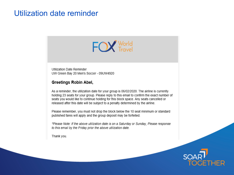### Utilization date reminder



Utilization Date Reminder UW Green Bay 20 Men's Soccer - 09UW4920

### **Greetings Robin Abel,**

As a reminder, the utilization date for your group is 06/02/2020. The airline is currently holding 23 seats for your group. Please reply to this email to confirm the exact number of seats you would like to continue holding for this block space. Any seats cancelled or released after this date will be subject to a penalty determined by the airline.

Please remember, you must not drop the block below the 10 seat minimum or standard published fares will apply and the group deposit may be forfeited.

\*Please Note: If the above utilization date is on a Saturday or Sunday, Please response to this email by the Friday prior the above utilization date.

Thank you.

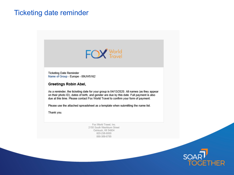### **Ticketing date reminder**



**Ticketing Date Reminder** Name of Group - Europe - 09UW5162

#### Greetings Robin Abel,

As a reminder, the ticketing date for your group is 04/13/2020. All names (as they appear on their photo ID), dates of birth, and gender are due by this date. Full payment is also due at this time. Please contact Fox World Travel to confirm your form of payment.

Please use the attached spreadsheet as a template when submitting the name list.

Thank you.

Fox World Travel, Inc. 2150 South Washburn Street Oshkosh, WI 54904 920-236-8000 888-369-8785